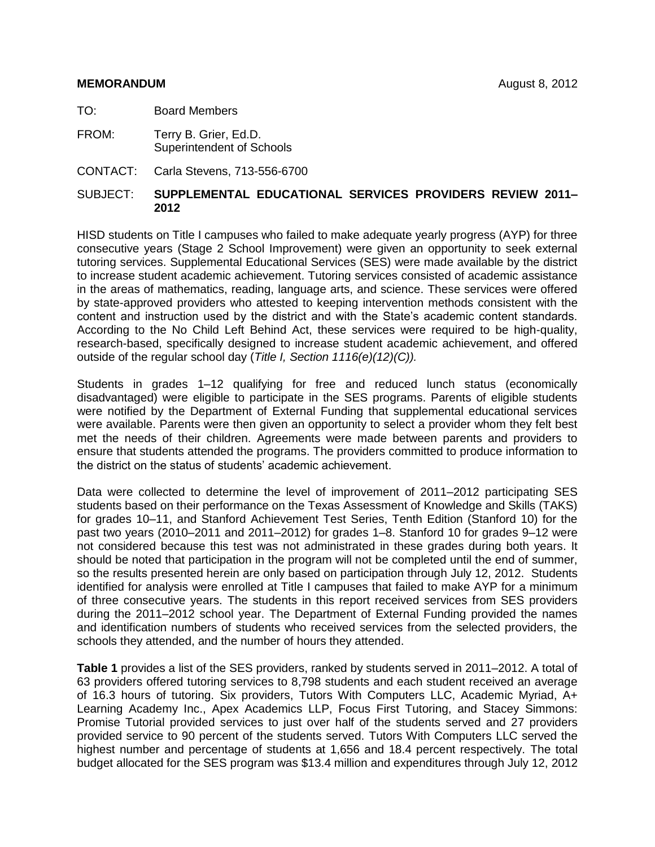#### **MEMORANDUM** August 8, 2012

TO: Board Members

- FROM: Terry B. Grier, Ed.D. Superintendent of Schools
- CONTACT: Carla Stevens, 713-556-6700

## SUBJECT: **SUPPLEMENTAL EDUCATIONAL SERVICES PROVIDERS REVIEW 2011– 2012**

HISD students on Title I campuses who failed to make adequate yearly progress (AYP) for three consecutive years (Stage 2 School Improvement) were given an opportunity to seek external tutoring services. Supplemental Educational Services (SES) were made available by the district to increase student academic achievement. Tutoring services consisted of academic assistance in the areas of mathematics, reading, language arts, and science. These services were offered by state-approved providers who attested to keeping intervention methods consistent with the content and instruction used by the district and with the State's academic content standards. According to the No Child Left Behind Act, these services were required to be high-quality, research-based, specifically designed to increase student academic achievement, and offered outside of the regular school day (*Title I, Section 1116(e)(12)(C)).* 

Students in grades 1–12 qualifying for free and reduced lunch status (economically disadvantaged) were eligible to participate in the SES programs. Parents of eligible students were notified by the Department of External Funding that supplemental educational services were available. Parents were then given an opportunity to select a provider whom they felt best met the needs of their children. Agreements were made between parents and providers to ensure that students attended the programs. The providers committed to produce information to the district on the status of students' academic achievement.

Data were collected to determine the level of improvement of 2011–2012 participating SES students based on their performance on the Texas Assessment of Knowledge and Skills (TAKS) for grades 10–11, and Stanford Achievement Test Series, Tenth Edition (Stanford 10) for the past two years (2010–2011 and 2011–2012) for grades 1–8. Stanford 10 for grades 9–12 were not considered because this test was not administrated in these grades during both years. It should be noted that participation in the program will not be completed until the end of summer, so the results presented herein are only based on participation through July 12, 2012. Students identified for analysis were enrolled at Title I campuses that failed to make AYP for a minimum of three consecutive years. The students in this report received services from SES providers during the 2011–2012 school year. The Department of External Funding provided the names and identification numbers of students who received services from the selected providers, the schools they attended, and the number of hours they attended.

**Table 1** provides a list of the SES providers, ranked by students served in 2011–2012. A total of 63 providers offered tutoring services to 8,798 students and each student received an average of 16.3 hours of tutoring. Six providers, Tutors With Computers LLC, Academic Myriad, A+ Learning Academy Inc., Apex Academics LLP, Focus First Tutoring, and Stacey Simmons: Promise Tutorial provided services to just over half of the students served and 27 providers provided service to 90 percent of the students served. Tutors With Computers LLC served the highest number and percentage of students at 1,656 and 18.4 percent respectively. The total budget allocated for the SES program was \$13.4 million and expenditures through July 12, 2012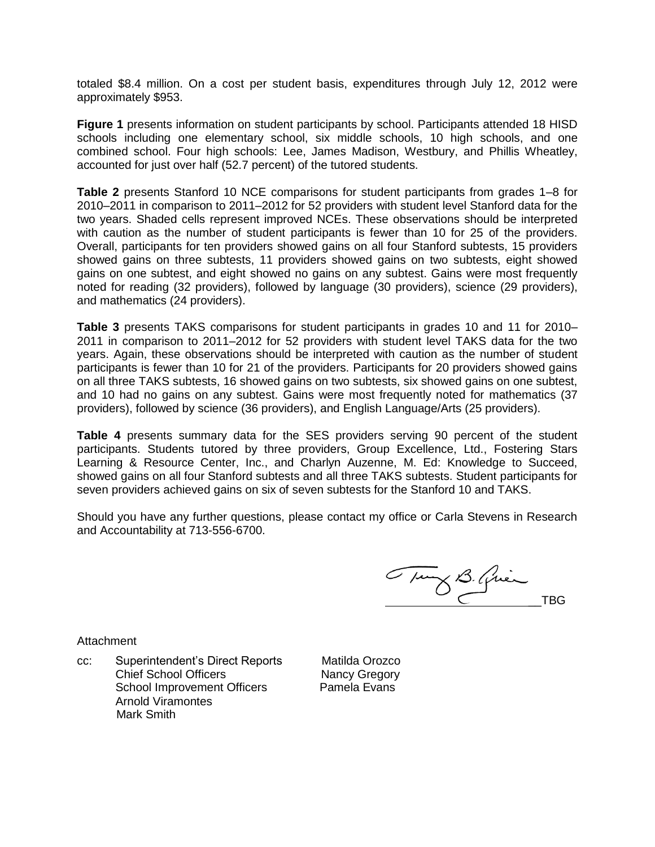totaled \$8.4 million. On a cost per student basis, expenditures through July 12, 2012 were approximately \$953.

**Figure 1** presents information on student participants by school. Participants attended 18 HISD schools including one elementary school, six middle schools, 10 high schools, and one combined school. Four high schools: Lee, James Madison, Westbury, and Phillis Wheatley, accounted for just over half (52.7 percent) of the tutored students.

**Table 2** presents Stanford 10 NCE comparisons for student participants from grades 1–8 for 2010–2011 in comparison to 2011–2012 for 52 providers with student level Stanford data for the two years. Shaded cells represent improved NCEs. These observations should be interpreted with caution as the number of student participants is fewer than 10 for 25 of the providers. Overall, participants for ten providers showed gains on all four Stanford subtests, 15 providers showed gains on three subtests, 11 providers showed gains on two subtests, eight showed gains on one subtest, and eight showed no gains on any subtest. Gains were most frequently noted for reading (32 providers), followed by language (30 providers), science (29 providers), and mathematics (24 providers).

**Table 3** presents TAKS comparisons for student participants in grades 10 and 11 for 2010– 2011 in comparison to 2011–2012 for 52 providers with student level TAKS data for the two years. Again, these observations should be interpreted with caution as the number of student participants is fewer than 10 for 21 of the providers. Participants for 20 providers showed gains on all three TAKS subtests, 16 showed gains on two subtests, six showed gains on one subtest, and 10 had no gains on any subtest. Gains were most frequently noted for mathematics (37 providers), followed by science (36 providers), and English Language/Arts (25 providers).

**Table 4** presents summary data for the SES providers serving 90 percent of the student participants. Students tutored by three providers, Group Excellence, Ltd., Fostering Stars Learning & Resource Center, Inc., and Charlyn Auzenne, M. Ed: Knowledge to Succeed, showed gains on all four Stanford subtests and all three TAKS subtests. Student participants for seven providers achieved gains on six of seven subtests for the Stanford 10 and TAKS.

Should you have any further questions, please contact my office or Carla Stevens in Research and Accountability at 713-556-6700.

Tury B. Guer

**Attachment** 

cc: Superintendent's Direct Reports Matilda Orozco Chief School Officers Nancy Gregory School Improvement Officers Pamela Evans Arnold Viramontes Mark Smith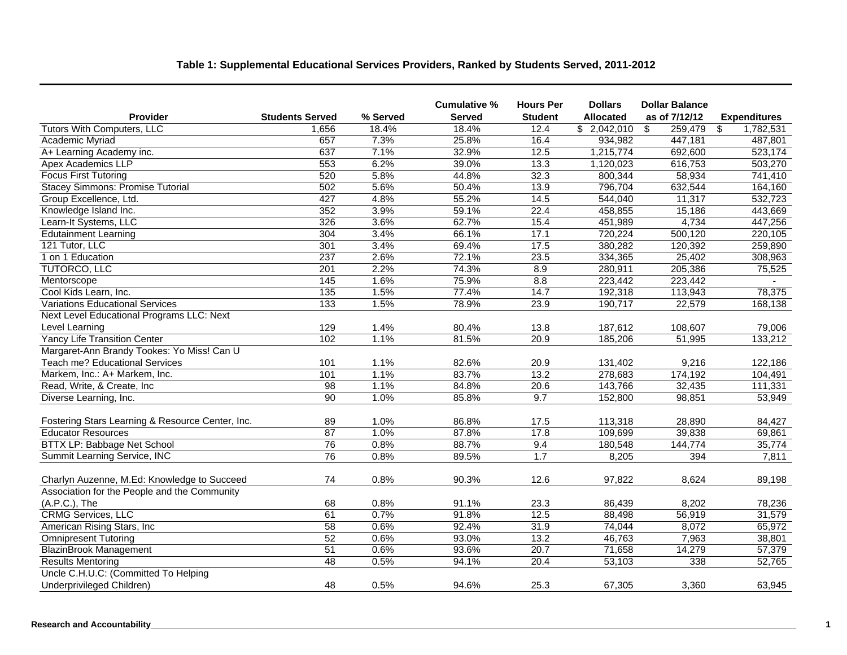# **Table 1: Supplemental Educational Services Providers, Ranked by Students Served, 2011-2012**

|                                                  |                        |          | Cumulative % | <b>Hours Per</b>  | <b>Dollars</b>   | <b>Dollar Balance</b> |                     |
|--------------------------------------------------|------------------------|----------|--------------|-------------------|------------------|-----------------------|---------------------|
| Provider                                         | <b>Students Served</b> | % Served | Served       | <b>Student</b>    | <b>Allocated</b> | as of 7/12/12         | <b>Expenditures</b> |
| <b>Tutors With Computers, LLC</b>                | 1,656                  | 18.4%    | 18.4%        | 12.4              | \$2,042,010      | 259,479<br>\$         | 1,782,531<br>\$     |
| Academic Myriad                                  | 657                    | 7.3%     | 25.8%        | 16.4              | 934,982          | 447,181               | 487,801             |
| A+ Learning Academy inc.                         | 637                    | 7.1%     | 32.9%        | 12.5              | 1,215,774        | 692,600               | 523,174             |
| Apex Academics LLP                               | 553                    | 6.2%     | 39.0%        | 13.3              | 1,120,023        | 616,753               | 503,270             |
| <b>Focus First Tutoring</b>                      | 520                    | 5.8%     | 44.8%        | 32.3              | 800,344          | 58,934                | 741,410             |
| <b>Stacey Simmons: Promise Tutorial</b>          | 502                    | 5.6%     | 50.4%        | 13.9              | 796,704          | 632,544               | 164,160             |
| Group Excellence, Ltd.                           | 427                    | 4.8%     | 55.2%        | 14.5              | 544,040          | 11,317                | 532,723             |
| Knowledge Island Inc.                            | 352                    | 3.9%     | 59.1%        | 22.4              | 458,855          | 15,186                | 443,669             |
| Learn-It Systems, LLC                            | 326                    | 3.6%     | 62.7%        | 15.4              | 451,989          | 4,734                 | 447,256             |
| <b>Edutainment Learning</b>                      | 304                    | 3.4%     | 66.1%        | 17.1              | 720,224          | 500,120               | 220,105             |
| 121 Tutor, LLC                                   | 301                    | 3.4%     | 69.4%        | 17.5              | 380,282          | 120,392               | 259,890             |
| 1 on 1 Education                                 | 237                    | 2.6%     | 72.1%        | 23.5              | 334,365          | 25,402                | 308,963             |
| <b>TUTORCO, LLC</b>                              | 201                    | 2.2%     | 74.3%        | 8.9               | 280,911          | 205,386               | 75,525              |
| Mentorscope                                      | 145                    | 1.6%     | 75.9%        | 8.8               | 223,442          | 223,442               |                     |
| Cool Kids Learn, Inc.                            | $\overline{135}$       | 1.5%     | 77.4%        | 14.7              | 192,318          | 113,943               | 78,375              |
| <b>Variations Educational Services</b>           | $\overline{133}$       | 1.5%     | 78.9%        | 23.9              | 190,717          | 22,579                | 168,138             |
| Next Level Educational Programs LLC: Next        |                        |          |              |                   |                  |                       |                     |
| Level Learning                                   | 129                    | 1.4%     | 80.4%        | 13.8              | 187,612          | 108,607               | 79,006              |
| <b>Yancy Life Transition Center</b>              | 102                    | 1.1%     | 81.5%        | 20.9              | 185,206          | 51,995                | 133,212             |
| Margaret-Ann Brandy Tookes: Yo Miss! Can U       |                        |          |              |                   |                  |                       |                     |
| Teach me? Educational Services                   | 101                    | 1.1%     | 82.6%        | 20.9              | 131,402          | 9,216                 | 122,186             |
| Markem, Inc.: A+ Markem, Inc.                    | 101                    | 1.1%     | 83.7%        | 13.2              | 278,683          | 174,192               | 104,491             |
| Read, Write, & Create, Inc.                      | 98                     | 1.1%     | 84.8%        | 20.6              | 143,766          | 32,435                | 111,331             |
| Diverse Learning, Inc.                           | 90                     | 1.0%     | 85.8%        | 9.7               | 152,800          | 98,851                | 53,949              |
|                                                  |                        |          |              |                   |                  |                       |                     |
| Fostering Stars Learning & Resource Center, Inc. | 89                     | 1.0%     | 86.8%        | 17.5              | 113,318          | 28,890                | 84,427              |
| <b>Educator Resources</b>                        | 87                     | 1.0%     | 87.8%        | 17.8              | 109,699          | 39,838                | 69,861              |
| BTTX LP: Babbage Net School                      | 76                     | 0.8%     | 88.7%        | 9.4               | 180,548          | 144,774               | 35,774              |
| Summit Learning Service, INC                     | $\overline{76}$        | 0.8%     | 89.5%        | 1.7               | 8,205            | 394                   | 7,811               |
|                                                  |                        |          |              |                   |                  |                       |                     |
| Charlyn Auzenne, M.Ed: Knowledge to Succeed      | 74                     | 0.8%     | 90.3%        | 12.6              | 97,822           | 8,624                 | 89,198              |
| Association for the People and the Community     |                        |          |              |                   |                  |                       |                     |
| (A.P.C.), The                                    | 68                     | 0.8%     | 91.1%        | 23.3              | 86,439           | 8,202                 | 78,236              |
| <b>CRMG Services, LLC</b>                        | 61                     | 0.7%     | 91.8%        | 12.5              | 88,498           | 56,919                | 31,579              |
| American Rising Stars, Inc.                      | 58                     | 0.6%     | 92.4%        | 31.9              | 74,044           | 8,072                 | 65,972              |
| <b>Omnipresent Tutoring</b>                      | 52                     | 0.6%     | 93.0%        | 13.2              | 46,763           | 7,963                 | 38,801              |
| <b>BlazinBrook Management</b>                    | $\overline{51}$        | 0.6%     | 93.6%        | $\overline{20.7}$ | 71,658           | 14,279                | 57,379              |
| <b>Results Mentoring</b>                         | 48                     | 0.5%     | 94.1%        | 20.4              | 53,103           | 338                   | 52,765              |
| Uncle C.H.U.C: (Committed To Helping             |                        |          |              |                   |                  |                       |                     |
| Underprivileged Children)                        | 48                     | 0.5%     | 94.6%        | 25.3              | 67,305           | 3,360                 | 63,945              |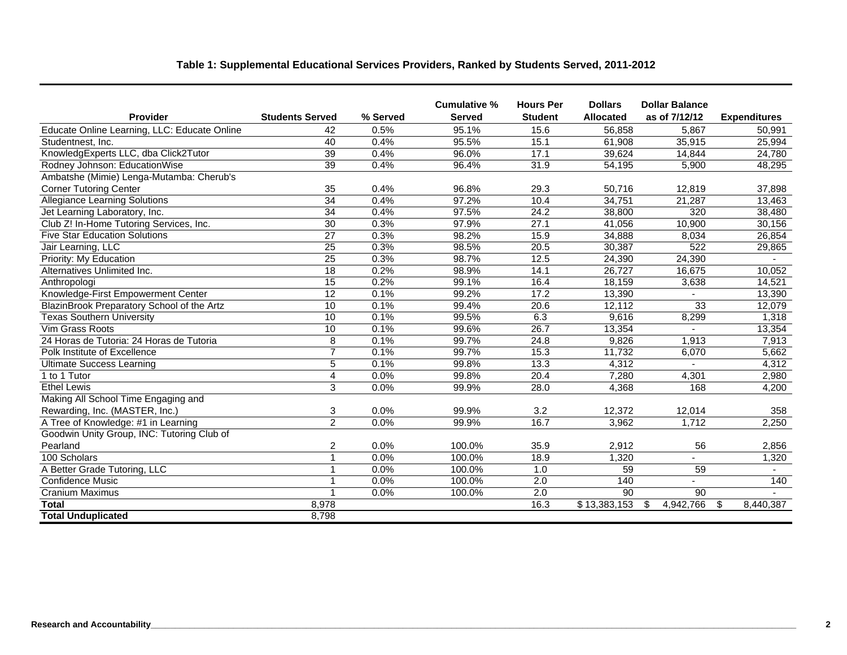# **Table 1: Supplemental Educational Services Providers, Ranked by Students Served, 2011-2012**

|                                              |                        |          | Cumulative %  | <b>Hours Per</b> | <b>Dollars</b>   | <b>Dollar Balance</b> |                          |
|----------------------------------------------|------------------------|----------|---------------|------------------|------------------|-----------------------|--------------------------|
| Provider                                     | <b>Students Served</b> | % Served | <b>Served</b> | <b>Student</b>   | <b>Allocated</b> | as of 7/12/12         | <b>Expenditures</b>      |
| Educate Online Learning, LLC: Educate Online | 42                     | 0.5%     | 95.1%         | 15.6             | 56,858           | 5.867                 | 50,991                   |
| Studentnest, Inc.                            | 40                     | 0.4%     | 95.5%         | 15.1             | 61,908           | 35,915                | 25,994                   |
| KnowledgExperts LLC, dba Click2Tutor         | $\overline{39}$        | 0.4%     | 96.0%         | 17.1             | 39,624           | 14,844                | 24,780                   |
| Rodney Johnson: EducationWise                | 39                     | 0.4%     | 96.4%         | 31.9             | 54,195           | 5.900                 | 48,295                   |
| Ambatshe (Mimie) Lenga-Mutamba: Cherub's     |                        |          |               |                  |                  |                       |                          |
| <b>Corner Tutoring Center</b>                | 35                     | 0.4%     | 96.8%         | 29.3             | 50,716           | 12,819                | 37,898                   |
| <b>Allegiance Learning Solutions</b>         | $\overline{34}$        | 0.4%     | 97.2%         | 10.4             | 34,751           | 21,287                | 13,463                   |
| Jet Learning Laboratory, Inc.                | 34                     | 0.4%     | 97.5%         | 24.2             | 38,800           | 320                   | 38,480                   |
| Club Z! In-Home Tutoring Services, Inc.      | $\overline{30}$        | 0.3%     | 97.9%         | 27.1             | 41,056           | 10,900                | 30,156                   |
| <b>Five Star Education Solutions</b>         | $\overline{27}$        | 0.3%     | 98.2%         | 15.9             | 34,888           | 8,034                 | 26,854                   |
| Jair Learning, LLC                           | 25                     | 0.3%     | 98.5%         | 20.5             | 30,387           | 522                   | 29,865                   |
| Priority: My Education                       | $\overline{25}$        | 0.3%     | 98.7%         | 12.5             | 24,390           | 24,390                |                          |
| Alternatives Unlimited Inc.                  | $\overline{18}$        | 0.2%     | 98.9%         | 14.1             | 26,727           | 16,675                | 10,052                   |
| Anthropologi                                 | $\overline{15}$        | 0.2%     | 99.1%         | 16.4             | 18,159           | 3,638                 | 14,521                   |
| Knowledge-First Empowerment Center           | 12                     | 0.1%     | 99.2%         | 17.2             | 13,390           |                       | 13,390                   |
| BlazinBrook Preparatory School of the Artz   | 10                     | 0.1%     | 99.4%         | 20.6             | 12,112           | 33                    | 12,079                   |
| <b>Texas Southern University</b>             | 10                     | 0.1%     | 99.5%         | 6.3              | 9,616            | 8,299                 | 1,318                    |
| Vim Grass Roots                              | 10                     | 0.1%     | 99.6%         | 26.7             | 13,354           |                       | 13,354                   |
| 24 Horas de Tutoria: 24 Horas de Tutoria     | 8                      | 0.1%     | 99.7%         | 24.8             | 9,826            | 1,913                 | 7,913                    |
| Polk Institute of Excellence                 | $\overline{7}$         | 0.1%     | 99.7%         | 15.3             | 11,732           | 6,070                 | 5,662                    |
| <b>Ultimate Success Learning</b>             | 5                      | 0.1%     | 99.8%         | 13.3             | 4,312            |                       | 4,312                    |
| 1 to 1 Tutor                                 | $\overline{4}$         | 0.0%     | 99.8%         | 20.4             | 7,280            | 4,301                 | 2,980                    |
| <b>Ethel Lewis</b>                           | 3                      | 0.0%     | 99.9%         | 28.0             | 4,368            | 168                   | 4,200                    |
| Making All School Time Engaging and          |                        |          |               |                  |                  |                       |                          |
| Rewarding, Inc. (MASTER, Inc.)               | 3                      | 0.0%     | 99.9%         | 3.2              | 12.372           | 12,014                | 358                      |
| A Tree of Knowledge: #1 in Learning          | $\overline{2}$         | 0.0%     | 99.9%         | 16.7             | 3,962            | 1,712                 | 2,250                    |
| Goodwin Unity Group, INC: Tutoring Club of   |                        |          |               |                  |                  |                       |                          |
| Pearland                                     | $\overline{2}$         | 0.0%     | 100.0%        | 35.9             | 2,912            | 56                    | 2,856                    |
| 100 Scholars                                 | $\mathbf 1$            | 0.0%     | 100.0%        | 18.9             | 1,320            | $\blacksquare$        | 1,320                    |
| A Better Grade Tutoring, LLC                 |                        | 0.0%     | 100.0%        | 1.0              | 59               | 59                    | $\overline{\phantom{0}}$ |
| Confidence Music                             |                        | 0.0%     | 100.0%        | 2.0              | 140              | $\blacksquare$        | 140                      |
| <b>Cranium Maximus</b>                       |                        | 0.0%     | 100.0%        | $\overline{2.0}$ | 90               | $\overline{90}$       |                          |
| <b>Total</b>                                 | 8,978                  |          |               | 16.3             | \$13,383,153     | 4,942,766<br>\$       | \$<br>8,440,387          |
| <b>Total Unduplicated</b>                    | 8,798                  |          |               |                  |                  |                       |                          |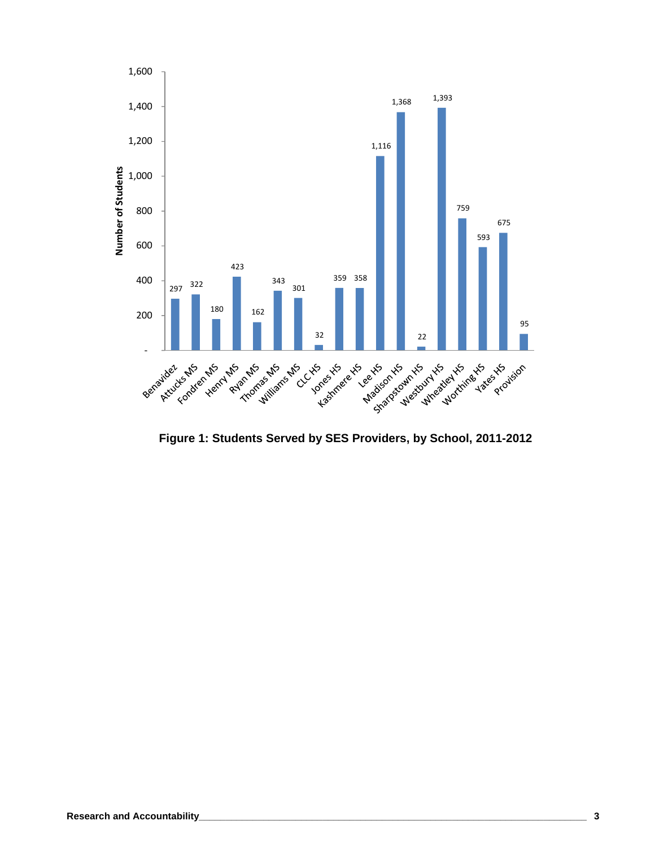

 **Figure 1: Students Served by SES Providers, by School, 2011-2012**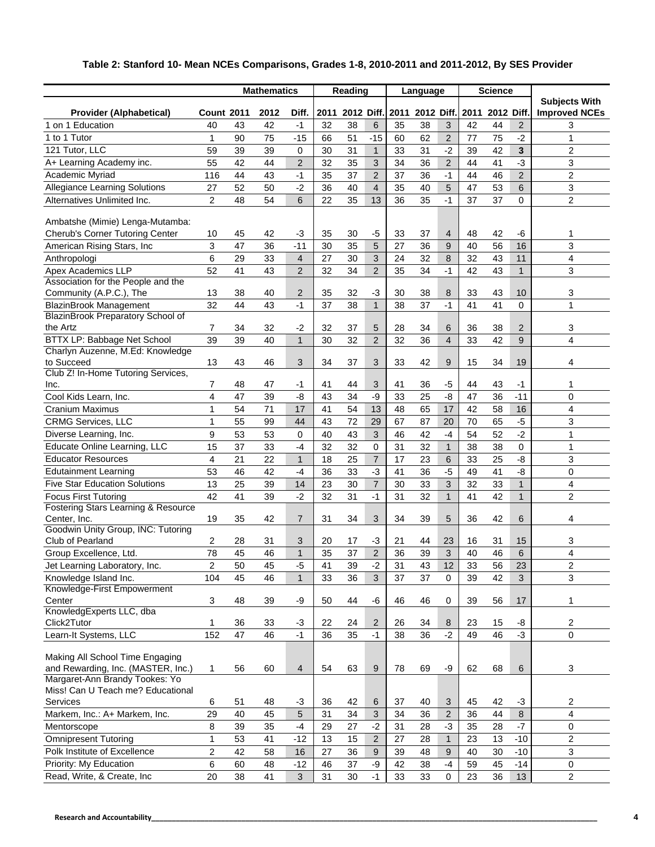|                                                                | <b>Mathematics</b> |    |      | Reading        |      |            | Language         |      |            | <b>Science</b> |      |            |                |                                              |
|----------------------------------------------------------------|--------------------|----|------|----------------|------|------------|------------------|------|------------|----------------|------|------------|----------------|----------------------------------------------|
| <b>Provider (Alphabetical)</b>                                 | <b>Count 2011</b>  |    | 2012 | Diff.          | 2011 | 2012 Diff. |                  | 2011 | 2012 Diff. |                | 2011 | 2012 Diff. |                | <b>Subjects With</b><br><b>Improved NCEs</b> |
| 1 on 1 Education                                               | 40                 | 43 | 42   | $-1$           | 32   | 38         | 6                | 35   | 38         | 3              | 42   | 44         | 2              | 3                                            |
| 1 to 1 Tutor                                                   | 1                  | 90 | 75   | $-15$          | 66   | 51         | $-15$            | 60   | 62         | 2              | 77   | 75         | $-2$           | 1                                            |
| 121 Tutor, LLC                                                 | 59                 | 39 | 39   | 0              | 30   | 31         | $\mathbf{1}$     | 33   | 31         | $-2$           | 39   | 42         | 3              | $\overline{c}$                               |
| A+ Learning Academy inc.                                       | 55                 | 42 | 44   | $\overline{2}$ | 32   | 35         | 3                | 34   | 36         | $\overline{2}$ | 44   | 41         | $-3$           | 3                                            |
| Academic Myriad                                                | 116                | 44 | 43   | $-1$           | 35   | 37         | $\overline{2}$   | 37   | 36         | $-1$           | 44   | 46         | $\overline{2}$ | $\overline{c}$                               |
| <b>Allegiance Learning Solutions</b>                           | 27                 | 52 | 50   | $-2$           | 36   | 40         | $\overline{4}$   | 35   | 40         | 5              | 47   | 53         | 6              | 3                                            |
| Alternatives Unlimited Inc.                                    | $\overline{2}$     | 48 | 54   | 6              | 22   | 35         | 13               | 36   | 35         | $-1$           | 37   | 37         | $\Omega$       | $\overline{2}$                               |
|                                                                |                    |    |      |                |      |            |                  |      |            |                |      |            |                |                                              |
| Ambatshe (Mimie) Lenga-Mutamba:                                |                    |    |      |                |      |            |                  |      |            |                |      |            |                |                                              |
| Cherub's Corner Tutoring Center                                | 10                 | 45 | 42   | -3             | 35   | 30         | $-5$             | 33   | 37         | $\overline{4}$ | 48   | 42         | -6             | 1                                            |
| American Rising Stars, Inc.                                    | 3                  | 47 | 36   | $-11$          | 30   | 35         | 5                | 27   | 36         | 9              | 40   | 56         | 16             | 3                                            |
| Anthropologi                                                   | 6                  | 29 | 33   | $\overline{4}$ | 27   | 30         | 3                | 24   | 32         | $\bf 8$        | 32   | 43         | 11             | $\overline{4}$                               |
| Apex Academics LLP<br>Association for the People and the       | 52                 | 41 | 43   | $\overline{2}$ | 32   | 34         | $\overline{2}$   | 35   | 34         | $-1$           | 42   | 43         | $\mathbf{1}$   | 3                                            |
| Community (A.P.C.), The                                        | 13                 | 38 | 40   | 2              | 35   | 32         | -3               | 30   | 38         | 8              | 33   | 43         | 10             | 3                                            |
| <b>BlazinBrook Management</b>                                  | 32                 | 44 | 43   | $-1$           | 37   | 38         | $\mathbf{1}$     | 38   | 37         | $-1$           | 41   | 41         | 0              | 1                                            |
| BlazinBrook Preparatory School of                              |                    |    |      |                |      |            |                  |      |            |                |      |            |                |                                              |
| the Artz                                                       | 7                  | 34 | 32   | $-2$           | 32   | 37         | 5                | 28   | 34         | 6              | 36   | 38         | 2              | 3                                            |
| BTTX LP: Babbage Net School                                    | 39                 | 39 | 40   | $\mathbf{1}$   | 30   | 32         | 2                | 32   | 36         | $\overline{4}$ | 33   | 42         | 9              | 4                                            |
| Charlyn Auzenne, M.Ed: Knowledge                               |                    |    |      |                |      |            |                  |      |            |                |      |            |                |                                              |
| to Succeed                                                     | 13                 | 43 | 46   | 3              | 34   | 37         | 3                | 33   | 42         | 9              | 15   | 34         | 19             | 4                                            |
| Club Z! In-Home Tutoring Services,                             |                    |    |      |                |      |            |                  |      |            |                |      |            |                |                                              |
| Inc.                                                           | 7                  | 48 | 47   | -1             | 41   | 44         | 3                | 41   | 36         | $-5$           | 44   | 43         | -1             | 1                                            |
| Cool Kids Learn, Inc.                                          | 4                  | 47 | 39   | $-8$           | 43   | 34         | -9               | 33   | 25         | $-8$           | 47   | 36         | $-11$          | $\mathbf 0$                                  |
| <b>Cranium Maximus</b>                                         | $\mathbf{1}$       | 54 | 71   | 17             | 41   | 54         | 13               | 48   | 65         | 17             | 42   | 58         | 16             | 4                                            |
| <b>CRMG Services, LLC</b>                                      | $\mathbf{1}$       | 55 | 99   | 44             | 43   | 72         | 29               | 67   | 87         | 20             | 70   | 65         | $-5$           | 3                                            |
| Diverse Learning, Inc.                                         | 9                  | 53 | 53   | $\Omega$       | 40   | 43         | 3                | 46   | 42         | $-4$           | 54   | 52         | $-2$           | $\mathbf{1}$                                 |
| Educate Online Learning, LLC                                   | 15                 | 37 | 33   | $-4$           | 32   | 32         | 0                | 31   | 32         | $\mathbf{1}$   | 38   | 38         | 0              | 1                                            |
| <b>Educator Resources</b>                                      | 4                  | 21 | 22   | $\mathbf{1}$   | 18   | 25         | $\overline{7}$   | 17   | 23         | 6              | 33   | 25         | -8             | 3                                            |
| <b>Edutainment Learning</b>                                    | 53                 | 46 | 42   | $-4$           | 36   | 33         | $-3$             | 41   | 36         | $-5$           | 49   | 41         | $-8$           | $\mathbf 0$                                  |
| <b>Five Star Education Solutions</b>                           | 13                 | 25 | 39   | 14             | 23   | 30         | $\overline{7}$   | 30   | 33         | 3              | 32   | 33         | $\mathbf{1}$   | 4                                            |
| <b>Focus First Tutoring</b>                                    | 42                 | 41 | 39   | $-2$           | 32   | 31         | $-1$             | 31   | 32         | $\mathbf{1}$   | 41   | 42         | $\mathbf{1}$   | $\overline{c}$                               |
| <b>Fostering Stars Learning &amp; Resource</b><br>Center, Inc. | 19                 | 35 | 42   | $\overline{7}$ | 31   | 34         | 3                | 34   | 39         | 5              | 36   | 42         | 6              | 4                                            |
| Goodwin Unity Group, INC: Tutoring                             |                    |    |      |                |      |            |                  |      |            |                |      |            |                |                                              |
| Club of Pearland                                               | 2                  | 28 | 31   | 3              | 20   | 17         | -3               | 21   | 44         | 23             | 16   | 31         | 15             | 3                                            |
| Group Excellence, Ltd.                                         | 78                 | 45 | 46   | $\mathbf{1}$   | 35   | 37         | $\overline{2}$   | 36   | 39         | 3              | 40   | 46         | 6              | 4                                            |
| Jet Learning Laboratory, Inc.                                  | $\overline{2}$     | 50 | 45   | -5             | 41   | 39         | $-2$             | 31   | 43         | 12             | 33   | 56         | 23             | $\overline{2}$                               |
| Knowledge Island Inc.                                          | 104                | 45 | 46   | $\mathbf{1}$   | 33   | 36         | 3                | 37   | 37         | $\mathbf 0$    | 39   | 42         | 3              | 3                                            |
| Knowledge-First Empowerment                                    |                    |    |      |                |      |            |                  |      |            |                |      |            |                |                                              |
| Center                                                         | $\mathfrak{S}$     | 48 | 39   | -9             | 50   | 44         | -6               | 46   | 46         | 0              | 39   | 56         | 17             | 1                                            |
| KnowledgExperts LLC, dba                                       |                    |    |      |                |      |            |                  |      |            |                |      |            |                |                                              |
| Click2Tutor                                                    | $\mathbf{1}$       | 36 | 33   | $-3$           | 22   | 24         | 2                | 26   | 34         | 8              | 23   | 15         | -8             | $\sqrt{2}$                                   |
| Learn-It Systems, LLC                                          | 152                | 47 | 46   | $-1$           | 36   | 35         | $-1$             | 38   | 36         | $-2$           | 49   | 46         | $-3$           | $\mathbf 0$                                  |
| Making All School Time Engaging                                |                    |    |      |                |      |            |                  |      |            |                |      |            |                |                                              |
| and Rewarding, Inc. (MASTER, Inc.)                             | 1                  | 56 | 60   | $\overline{4}$ | 54   | 63         | 9                | 78   | 69         | -9             | 62   | 68         | 6              | 3                                            |
| Margaret-Ann Brandy Tookes: Yo                                 |                    |    |      |                |      |            |                  |      |            |                |      |            |                |                                              |
| Miss! Can U Teach me? Educational                              |                    |    |      |                |      |            |                  |      |            |                |      |            |                |                                              |
| Services                                                       | 6                  | 51 | 48   | -3             | 36   | 42         | 6                | 37   | 40         | 3              | 45   | 42         | $-3$           | $\overline{c}$                               |
| Markem, Inc.: A+ Markem, Inc.                                  | 29                 | 40 | 45   | 5              | 31   | 34         | $\sqrt{3}$       | 34   | 36         | $\overline{2}$ | 36   | 44         | $\,8\,$        | 4                                            |
| Mentorscope                                                    | 8                  | 39 | 35   | $-4$           | 29   | 27         | $-2$             | 31   | 28         | $-3$           | 35   | 28         | $-7$           | $\mathbf 0$                                  |
| <b>Omnipresent Tutoring</b>                                    | $\mathbf{1}$       | 53 | 41   | $-12$          | 13   | 15         | $\overline{2}$   | 27   | 28         | $\mathbf{1}$   | 23   | 13         | $-10$          | $\overline{c}$                               |
| Polk Institute of Excellence                                   | $\overline{2}$     | 42 | 58   | 16             | 27   | 36         | $\boldsymbol{9}$ | 39   | 48         | 9              | 40   | 30         | $-10$          | 3                                            |
| Priority: My Education                                         | 6                  | 60 | 48   | $-12$          | 46   | 37         | -9               | 42   | 38         | $-4$           | 59   | 45         | $-14$          | $\mathbf 0$                                  |
| Read, Write, & Create, Inc                                     | 20                 | 38 | 41   | $\mathbf{3}$   | 31   | 30         | $-1$             | 33   | 33         | 0              | 23   | 36         | 13             | $\overline{2}$                               |

#### **Table 2: Stanford 10- Mean NCEs Comparisons, Grades 1-8, 2010-2011 and 2011-2012, By SES Provider**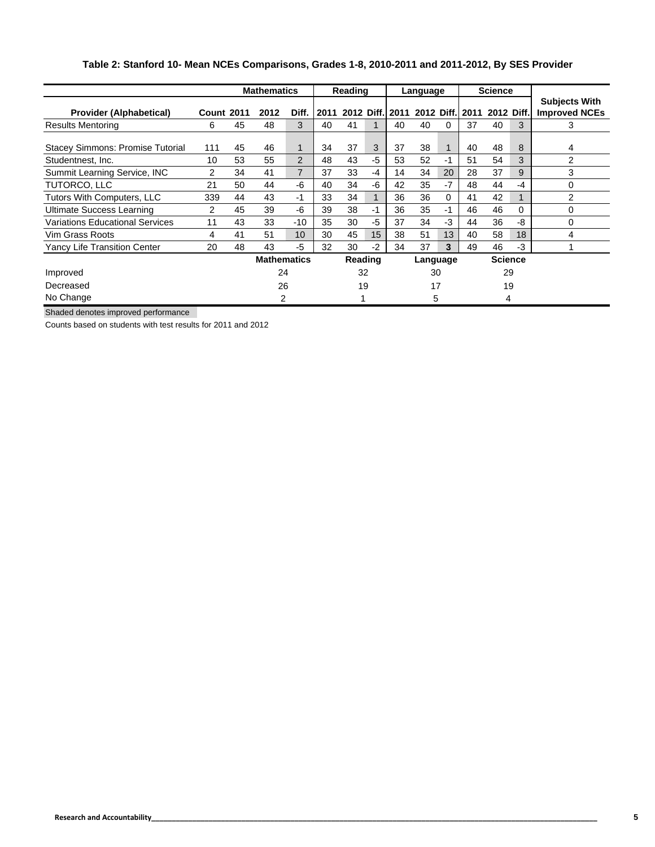|                                         | <b>Mathematics</b> |    |                    | Reading        |         |    | Language |                 |    | <b>Science</b> |                 |            |          |                                              |
|-----------------------------------------|--------------------|----|--------------------|----------------|---------|----|----------|-----------------|----|----------------|-----------------|------------|----------|----------------------------------------------|
| <b>Provider (Alphabetical)</b>          | <b>Count 2011</b>  |    | 2012               | Diff.          | 2011    |    |          | 2012 Diff. 2011 |    |                | 2012 Diff. 2011 | 2012 Diff. |          | <b>Subjects With</b><br><b>Improved NCEs</b> |
| <b>Results Mentoring</b>                | 6                  | 45 | 48                 | 3              | 40      | 41 |          | 40              | 40 | 0              | 37              | 40         | 3        | 3                                            |
| <b>Stacey Simmons: Promise Tutorial</b> | 111                | 45 | 46                 |                | 34      | 37 | 3        | 37              | 38 |                | 40              | 48         | 8        | 4                                            |
| Studentnest. Inc.                       | 10                 | 53 | 55                 | 2              | 48      | 43 | -5       | 53              | 52 | -1             | 51              | 54         | 3        | 2                                            |
| Summit Learning Service, INC            | 2                  | 34 | 41                 | $\overline{7}$ | 37      | 33 | -4       | 14              | 34 | 20             | 28              | 37         | 9        | 3                                            |
| TUTORCO, LLC                            | 21                 | 50 | 44                 | -6             | 40      | 34 | -6       | 42              | 35 | $-7$           | 48              | 44         | -4       | 0                                            |
| Tutors With Computers, LLC              | 339                | 44 | 43                 | -1             | 33      | 34 |          | 36              | 36 | $\Omega$       | 41              | 42         |          | 2                                            |
| <b>Ultimate Success Learning</b>        | $\overline{2}$     | 45 | 39                 | -6             | 39      | 38 | -1       | 36              | 35 | -1             | 46              | 46         | $\Omega$ | 0                                            |
| Variations Educational Services         | 11                 | 43 | 33                 | $-10$          | 35      | 30 | -5       | 37              | 34 | -3             | 44              | 36         | -8       | 0                                            |
| Vim Grass Roots                         | 4                  | 41 | 51                 | 10             | 30      | 45 | 15       | 38              | 51 | 13             | 40              | 58         | 18       | 4                                            |
| Yancy Life Transition Center            | 20                 | 48 | 43                 | -5             | 32      | 30 | $-2$     | 34              | 37 | 3              | 49              | 46         | $-3$     |                                              |
|                                         |                    |    | <b>Mathematics</b> |                | Reading |    |          | Language        |    |                | <b>Science</b>  |            |          |                                              |
| Improved                                |                    |    | 24                 |                |         | 32 |          |                 | 30 |                | 29              |            |          |                                              |
| Decreased                               |                    |    | 26                 | 19             |         | 17 |          | 19              |    |                |                 |            |          |                                              |
| No Change                               |                    |    | $\mathcal{P}$      |                |         |    |          |                 | 5  |                |                 | 4          |          |                                              |

#### **Table 2: Stanford 10- Mean NCEs Comparisons, Grades 1-8, 2010-2011 and 2011-2012, By SES Provider**

Shaded denotes improved performance

Counts based on students with test results for 2011 and 2012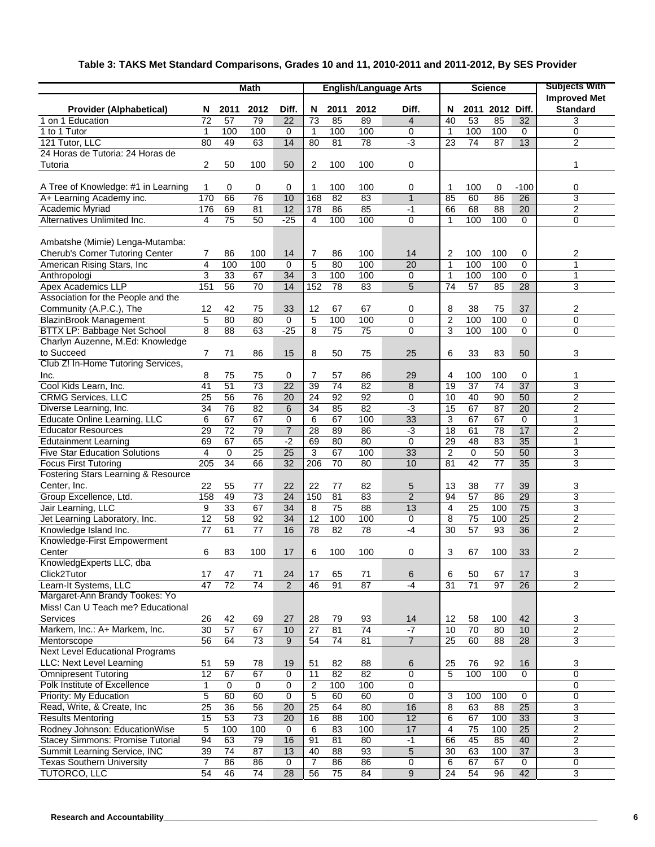## **Table 3: TAKS Met Standard Comparisons, Grades 10 and 11, 2010-2011 and 2011-2012, By SES Provider**

|                                                                                      | Math            |                      |                       |                        | <b>English/Language Arts</b> |                 |                 |                |                      |                 | <b>Science</b>        | <b>Subjects With</b> |                                        |
|--------------------------------------------------------------------------------------|-----------------|----------------------|-----------------------|------------------------|------------------------------|-----------------|-----------------|----------------|----------------------|-----------------|-----------------------|----------------------|----------------------------------------|
| <b>Provider (Alphabetical)</b>                                                       | N               | 2011                 | 2012                  | Diff.                  | N                            | 2011            | 2012            | Diff.          | N                    |                 | 2011 2012             | Diff.                | <b>Improved Met</b><br><b>Standard</b> |
| 1 on 1 Education                                                                     | $\overline{72}$ | $\overline{57}$      | 79                    | $\overline{22}$        | 73                           | 85              | 89              | $\overline{4}$ | 40                   | 53              | 85                    | $\overline{32}$      | 3                                      |
| 1 to 1 Tutor                                                                         | 1               | 100                  | 100                   | 0                      | $\mathbf{1}$                 | 100             | 100             | 0              | $\mathbf{1}$         | 100             | 100                   | 0                    | 0                                      |
| 121 Tutor, LLC                                                                       | 80              | 49                   | 63                    | 14                     | 80                           | 81              | 78              | $-3$           | 23                   | $\overline{74}$ | 87                    | 13                   | $\overline{2}$                         |
| 24 Horas de Tutoria: 24 Horas de                                                     |                 |                      |                       |                        |                              |                 |                 |                |                      |                 |                       |                      |                                        |
| Tutoria                                                                              | 2               | 50                   | 100                   | 50                     | 2                            | 100             | 100             | 0              |                      |                 |                       |                      | 1                                      |
| A Tree of Knowledge: #1 in Learning                                                  | 1               | 0                    | 0                     | 0                      | 1                            | 100             | 100             | 0              | 1                    | 100             | 0                     | $-100$               | 0                                      |
| A+ Learning Academy inc.                                                             | 170             | 66                   | 76                    | 10                     | 168                          | 82              | 83              | $\mathbf{1}$   | 85                   | 60              | 86                    | 26                   | 3                                      |
| Academic Myriad                                                                      | 176             | 69                   | 81                    | $\overline{12}$        | 178                          | 86              | 85              | $-1$           | 66                   | 68              | 88                    | $\overline{20}$      | 2                                      |
| Alternatives Unlimited Inc.                                                          | $\overline{4}$  | 75                   | 50                    | $-25$                  | 4                            | 100             | 100             | $\mathbf 0$    | $\mathbf 1$          | 100             | 100                   | $\mathbf 0$          | 0                                      |
| Ambatshe (Mimie) Lenga-Mutamba:<br>Cherub's Corner Tutoring Center                   | 7               |                      |                       |                        | 7                            |                 | 100             |                |                      | 100             | 100                   | 0                    | 2                                      |
| American Rising Stars, Inc.                                                          | 4               | 86<br>100            | 100<br>100            | 14<br>$\mathbf 0$      | $\mathbf 5$                  | 86<br>80        | 100             | 14<br>20       | 2<br>$\mathbf{1}$    | 100             | 100                   | $\mathbf 0$          | $\mathbf{1}$                           |
| Anthropologi                                                                         | 3               | 33                   | 67                    | 34                     | 3                            | 100             | 100             | 0              | $\mathbf{1}$         | 100             | 100                   | 0                    | 1                                      |
| Apex Academics LLP                                                                   | 151             | 56                   | 70                    | 14                     | 152                          | 78              | 83              | 5              | 74                   | 57              | 85                    | 28                   | 3                                      |
| Association for the People and the                                                   |                 |                      |                       |                        |                              |                 |                 |                |                      |                 |                       |                      |                                        |
|                                                                                      |                 |                      |                       |                        |                              |                 |                 |                |                      |                 |                       |                      |                                        |
| Community (A.P.C.), The                                                              | 12              | 42                   | 75                    | 33                     | 12                           | 67              | 67              | 0              | 8                    | 38              | 75                    | 37                   | 2                                      |
| <b>BlazinBrook Management</b>                                                        | 5               | 80                   | 80                    | $\mathbf 0$            | 5                            | 100             | 100             | $\mathbf 0$    | $\overline{2}$       | 100             | 100                   | 0                    | 0                                      |
| BTTX LP: Babbage Net School                                                          | 8               | 88                   | 63                    | $-25$                  | 8                            | 75              | 75              | 0              | 3                    | 100             | 100                   | $\Omega$             | 0                                      |
| Charlyn Auzenne, M.Ed: Knowledge<br>to Succeed<br>Club Z! In-Home Tutoring Services, | 7               | 71                   | 86                    | 15                     | 8                            | 50              | 75              | 25             | 6                    | 33              | 83                    | 50                   | 3                                      |
|                                                                                      | 8               |                      |                       |                        | 7                            |                 | 86              |                |                      | 100             | 100                   | 0                    | 1                                      |
| Inc.<br>Cool Kids Learn, Inc.                                                        | 41              | 75<br>51             | 75<br>$\overline{73}$ | 0<br>22                | 39                           | 57<br>74        | 82              | 29<br>8        | 4<br>19              | 37              | 74                    | $\overline{37}$      | 3                                      |
| <b>CRMG Services, LLC</b>                                                            | 25              | 56                   | 76                    | 20                     | 24                           | 92              | 92              | $\mathbf 0$    | 10                   | 40              | 90                    | $\overline{50}$      | $\overline{\mathbf{c}}$                |
|                                                                                      |                 |                      |                       |                        |                              |                 |                 |                |                      |                 |                       |                      |                                        |
| Diverse Learning, Inc.                                                               | 34              | 76                   | 82                    | 6                      | 34                           | 85              | 82              | $-3$           | 15                   | 67              | 87                    | 20                   | 2                                      |
| Educate Online Learning, LLC<br><b>Educator Resources</b>                            | 6               | 67                   | 67                    | 0                      | 6                            | 67              | 100<br>86       | 33             | 3                    | 67              | 67                    | $\mathbf 0$<br>17    | 1<br>$\overline{2}$                    |
| <b>Edutainment Learning</b>                                                          | 29<br>69        | 72<br>67             | 79<br>65              | $\overline{7}$<br>$-2$ | 28<br>69                     | 89<br>80        | 80              | $-3$<br>0      | 18<br>29             | 61<br>48        | 78<br>83              | $\overline{35}$      | 1                                      |
| <b>Five Star Education Solutions</b>                                                 |                 |                      |                       |                        |                              |                 |                 |                |                      |                 |                       | 50                   |                                        |
|                                                                                      | 4               | 0<br>$\overline{34}$ | 25                    | 25<br>$\overline{32}$  | 3                            | 67<br>70        | 100             | 33<br>10       | $\overline{2}$<br>81 | 0               | 50<br>$\overline{77}$ | 35                   | 3<br>3                                 |
| <b>Focus First Tutoring</b>                                                          | 205             |                      | 66                    |                        | 206                          |                 | 80              |                |                      | 42              |                       |                      |                                        |
| Fostering Stars Learning & Resource<br>Center, Inc.                                  | 22              | 55                   | 77                    | 22                     | 22                           | 77              | 82              | 5              | 13                   | 38              | 77                    | 39                   | 3                                      |
| Group Excellence, Ltd.                                                               | 158             | 49                   | 73                    | 24                     | 150                          | 81              | 83              | $\overline{2}$ | 94                   | 57              | 86                    | $\overline{29}$      | 3                                      |
| Jair Learning, LLC                                                                   | 9               | 33                   | 67                    | 34                     | 8                            | $\overline{75}$ | $\overline{88}$ | 13             | 4                    | 25              | 100                   | $\overline{75}$      | 3                                      |
| Jet Learning Laboratory, Inc.                                                        | 12              | 58                   | 92                    | 34                     | 12                           | 100             | 100             | 0              | 8                    | 75              | 100                   | $\overline{25}$      | 2                                      |
| Knowledge Island Inc.                                                                | 77              | 61                   | 77                    | 16                     | 78                           | 82              | 78              | $-4$           | 30                   | 57              | 93                    | $\overline{36}$      | $\overline{2}$                         |
| Knowledge-First Empowerment                                                          |                 |                      |                       |                        |                              |                 |                 |                |                      |                 |                       |                      |                                        |
| Center                                                                               | 6               | 83                   | 100                   | 17                     | 6                            | 100             | 100             | 0              | 3                    | 67              | 100                   | 33                   | $\overline{2}$                         |
| KnowledgExperts LLC, dba                                                             |                 |                      |                       |                        |                              |                 |                 |                |                      |                 |                       |                      |                                        |
| Click2Tutor                                                                          | 17              | 47                   | 71                    | 24                     | 17                           | 65              | 71              | 6              | 6                    | 50              | 67                    | 17                   | 3                                      |
| Learn-It Systems, LLC                                                                | 47              | 72                   | 74                    | $\overline{2}$         | 46                           | 91              | 87              | $-4$           | 31                   | 71              | 97                    | 26                   | $\overline{2}$                         |
| Margaret-Ann Brandy Tookes: Yo<br>Miss! Can U Teach me? Educational                  |                 |                      |                       |                        |                              |                 |                 |                |                      |                 |                       |                      |                                        |
| Services                                                                             | 26              | 42                   | 69                    | 27                     | 28                           | 79              | 93              | 14             | 12                   | 58              | 100                   | 42                   | 3                                      |
| Markem, Inc.: A+ Markem, Inc.                                                        | $\overline{30}$ | $\overline{57}$      | 67                    | 10                     | $\overline{27}$              | 81              | $\overline{74}$ | $-7$           | 10                   | 70              | 80                    | 10                   | $\overline{2}$                         |
| Mentorscope                                                                          | 56              | 64                   | 73                    | 9                      | 54                           | 74              | 81              | $\overline{7}$ | 25                   | 60              | 88                    | 28                   | 3                                      |
| <b>Next Level Educational Programs</b>                                               |                 |                      |                       |                        |                              |                 |                 |                |                      |                 |                       |                      |                                        |
| LLC: Next Level Learning                                                             | 51              | 59                   | 78                    | 19                     | 51                           | 82              | 88              | 6              | 25                   | 76              | 92                    | 16                   | 3                                      |
| <b>Omnipresent Tutoring</b>                                                          | 12              | 67                   | 67                    | 0                      | 11                           | 82              | 82              | $\mathbf 0$    | 5                    | 100             | 100                   | 0                    | 0                                      |
| Polk Institute of Excellence                                                         | $\mathbf{1}$    | $\mathbf 0$          | $\mathbf 0$           | 0                      | $\overline{2}$               | 100             | 100             | $\pmb{0}$      |                      |                 |                       |                      | $\mathbf 0$                            |
| Priority: My Education                                                               | 5               | 60                   | 60                    | 0                      | 5                            | 60              | 60              | 0              | 3                    | 100             | 100                   | 0                    | 0                                      |
| Read, Write, & Create, Inc                                                           | 25              | 36                   | 56                    | 20                     | 25                           | 64              | 80              | 16             | 8                    | 63              | 88                    | $\overline{25}$      | 3                                      |
| <b>Results Mentoring</b>                                                             | 15              | 53                   | 73                    | 20                     | 16                           | 88              | 100             | 12             | 6                    | 67              | 100                   | $\overline{33}$      | 3                                      |
| Rodney Johnson: EducationWise                                                        | 5               | 100                  | 100                   | 0                      | 6                            | 83              | 100             | 17             | 4                    | 75              | 100                   | 25                   | $\overline{2}$                         |
| <b>Stacey Simmons: Promise Tutorial</b>                                              | 94              | 63                   | 79                    | 16                     | 91                           | 81              | 80              | $-1$           | 66                   | 45              | 85                    | 40                   | 2                                      |
| Summit Learning Service, INC                                                         | 39              | $\overline{74}$      | 87                    | 13                     | 40                           | 88              | 93              | $\overline{5}$ | 30                   | 63              | 100                   | $\overline{37}$      | 3                                      |
| <b>Texas Southern University</b>                                                     | $\overline{7}$  | 86                   | 86                    | $\mathbf 0$            | $\overline{7}$               | 86              | 86              | 0              | 6                    | 67              | 67                    | 0                    | 0                                      |
| <b>TUTORCO, LLC</b>                                                                  | 54              | 46                   | 74                    | 28                     | 56                           | 75              | 84              | 9              | $\overline{24}$      | 54              | 96                    | 42                   | 3                                      |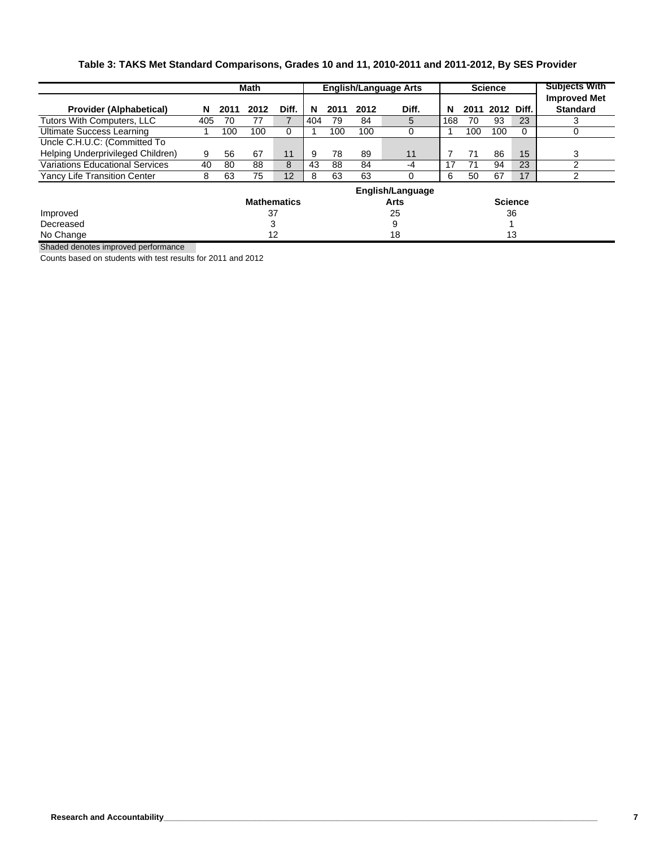#### **Table 3: TAKS Met Standard Comparisons, Grades 10 and 11, 2010-2011 and 2011-2012, By SES Provider**

|                                        |     |      | Math |                    |     | <b>English/Language Arts</b> |                                 |       |     |      | <b>Science</b> | <b>Subjects With</b> |                                        |
|----------------------------------------|-----|------|------|--------------------|-----|------------------------------|---------------------------------|-------|-----|------|----------------|----------------------|----------------------------------------|
| <b>Provider (Alphabetical)</b>         | N   | 2011 | 2012 | Diff.              | N   | 2011                         | 2012                            | Diff. | N   | 2011 | 2012 Diff.     |                      | <b>Improved Met</b><br><b>Standard</b> |
| Tutors With Computers, LLC             | 405 | 70   | 77   |                    | 404 | 79                           | 84                              | 5     | 168 | 70   | 93             | 23                   | 3                                      |
| Ultimate Success Learning              |     | 100  | 100  | $\mathbf 0$        |     | 100                          | 100                             | 0     |     | 100  | 100            | 0                    | 0                                      |
| Uncle C.H.U.C: (Committed To           |     |      |      |                    |     |                              |                                 |       |     |      |                |                      |                                        |
| Helping Underprivileged Children)      | 9   | 56   | 67   | 11                 | 9   | 78                           | 89                              | 11    |     | 71   | 86             | 15                   | 3                                      |
| <b>Variations Educational Services</b> | 40  | 80   | 88   | 8                  | 43  | 88                           | 84                              | $-4$  | 17  | 71   | 94             | 23                   | 2                                      |
| <b>Yancy Life Transition Center</b>    | 8   | 63   | 75   | 12 <sup>°</sup>    | 8   | 63                           | 63                              | 0     | 6   | 50   | 67             | 17                   | $\overline{2}$                         |
|                                        |     |      |      | <b>Mathematics</b> |     |                              | English/Language<br><b>Arts</b> |       |     |      | <b>Science</b> |                      |                                        |
| Improved                               |     |      | 37   |                    |     |                              |                                 | 25    | 36  |      |                |                      |                                        |
| Decreased                              |     | 3    |      |                    |     | 9                            |                                 |       |     |      |                |                      |                                        |
| No Change                              |     |      |      | 12                 |     |                              |                                 | 18    | 13  |      |                |                      |                                        |

Shaded denotes improved performance

Counts based on students with test results for 2011 and 2012